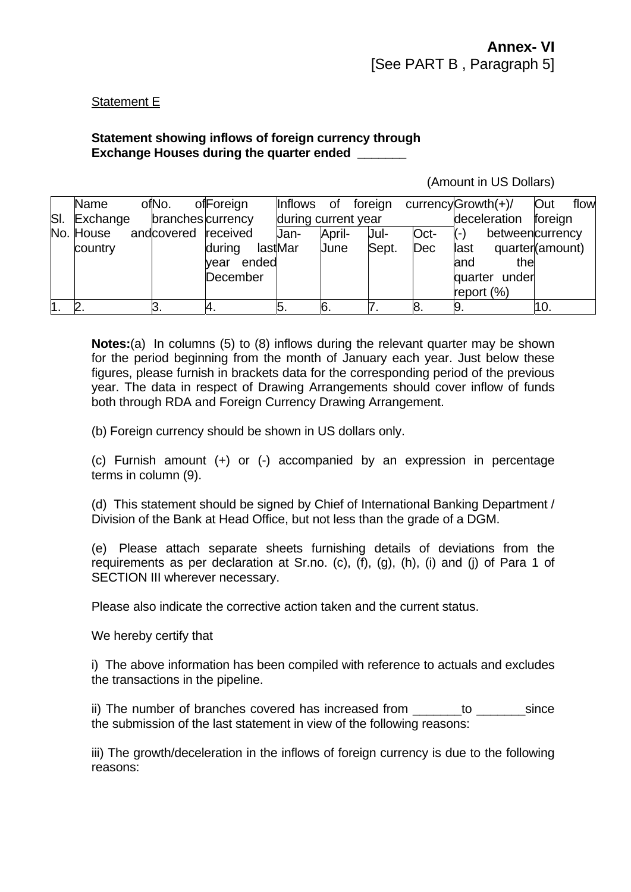## Statement E

## **Statement showing inflows of foreign currency through Exchange Houses during the quarter ended \_\_\_\_\_\_\_**

## (Amount in US Dollars)

| Name<br>SI. Exchange | ofNo.<br>branches currency | ofForeign                 | Inflows         | 0f<br>during current year | foreign       |             | currency $Growth(+)/$<br>deceleration         | Out<br>flow<br>foreign             |
|----------------------|----------------------------|---------------------------|-----------------|---------------------------|---------------|-------------|-----------------------------------------------|------------------------------------|
| No. House<br>country | andcovered received        | during                    | Jan-<br>lastMar | April-<br>June            | Jul-<br>Sept. | Oct-<br>Dec | $(-)$<br>last                                 | betweencurrency<br>quarter(amount) |
|                      |                            | ended<br>vear<br>December |                 |                           |               |             | the<br>land<br>quarter under<br>report $(\%)$ |                                    |
|                      | З.                         | 4.                        | p.              | 6.                        |               | 8.          | 9.                                            | 10.                                |

**Notes:**(a) In columns (5) to (8) inflows during the relevant quarter may be shown for the period beginning from the month of January each year. Just below these figures, please furnish in brackets data for the corresponding period of the previous year. The data in respect of Drawing Arrangements should cover inflow of funds both through RDA and Foreign Currency Drawing Arrangement.

(b) Foreign currency should be shown in US dollars only.

(c) Furnish amount (+) or (-) accompanied by an expression in percentage terms in column (9).

(d) This statement should be signed by Chief of International Banking Department / Division of the Bank at Head Office, but not less than the grade of a DGM.

(e) Please attach separate sheets furnishing details of deviations from the requirements as per declaration at Sr.no. (c), (f), (g), (h), (i) and (j) of Para 1 of SECTION III wherever necessary.

Please also indicate the corrective action taken and the current status.

We hereby certify that

i) The above information has been compiled with reference to actuals and excludes the transactions in the pipeline.

ii) The number of branches covered has increased from \_\_\_\_\_\_\_to \_\_\_\_\_\_\_\_\_ since the submission of the last statement in view of the following reasons:

iii) The growth/deceleration in the inflows of foreign currency is due to the following reasons: